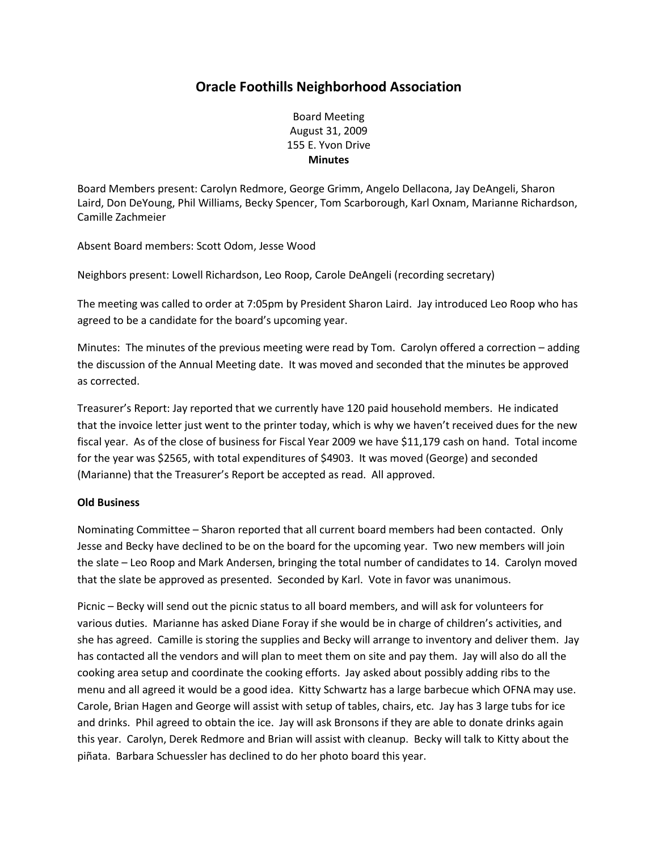## **Oracle Foothills Neighborhood Association**

Board Meeting August 31, 2009 155 E. Yvon Drive **Minutes**

Board Members present: Carolyn Redmore, George Grimm, Angelo Dellacona, Jay DeAngeli, Sharon Laird, Don DeYoung, Phil Williams, Becky Spencer, Tom Scarborough, Karl Oxnam, Marianne Richardson, Camille Zachmeier

Absent Board members: Scott Odom, Jesse Wood

Neighbors present: Lowell Richardson, Leo Roop, Carole DeAngeli (recording secretary)

The meeting was called to order at 7:05pm by President Sharon Laird. Jay introduced Leo Roop who has agreed to be a candidate for the board's upcoming year.

Minutes: The minutes of the previous meeting were read by Tom. Carolyn offered a correction – adding the discussion of the Annual Meeting date. It was moved and seconded that the minutes be approved as corrected.

Treasurer's Report: Jay reported that we currently have 120 paid household members. He indicated that the invoice letter just went to the printer today, which is why we haven't received dues for the new fiscal year. As of the close of business for Fiscal Year 2009 we have \$11,179 cash on hand. Total income for the year was \$2565, with total expenditures of \$4903. It was moved (George) and seconded (Marianne) that the Treasurer's Report be accepted as read. All approved.

## **Old Business**

Nominating Committee – Sharon reported that all current board members had been contacted. Only Jesse and Becky have declined to be on the board for the upcoming year. Two new members will join the slate – Leo Roop and Mark Andersen, bringing the total number of candidates to 14. Carolyn moved that the slate be approved as presented. Seconded by Karl. Vote in favor was unanimous.

Picnic – Becky will send out the picnic status to all board members, and will ask for volunteers for various duties. Marianne has asked Diane Foray if she would be in charge of children's activities, and she has agreed. Camille is storing the supplies and Becky will arrange to inventory and deliver them. Jay has contacted all the vendors and will plan to meet them on site and pay them. Jay will also do all the cooking area setup and coordinate the cooking efforts. Jay asked about possibly adding ribs to the menu and all agreed it would be a good idea. Kitty Schwartz has a large barbecue which OFNA may use. Carole, Brian Hagen and George will assist with setup of tables, chairs, etc. Jay has 3 large tubs for ice and drinks. Phil agreed to obtain the ice. Jay will ask Bronsons if they are able to donate drinks again this year. Carolyn, Derek Redmore and Brian will assist with cleanup. Becky will talk to Kitty about the piñata. Barbara Schuessler has declined to do her photo board this year.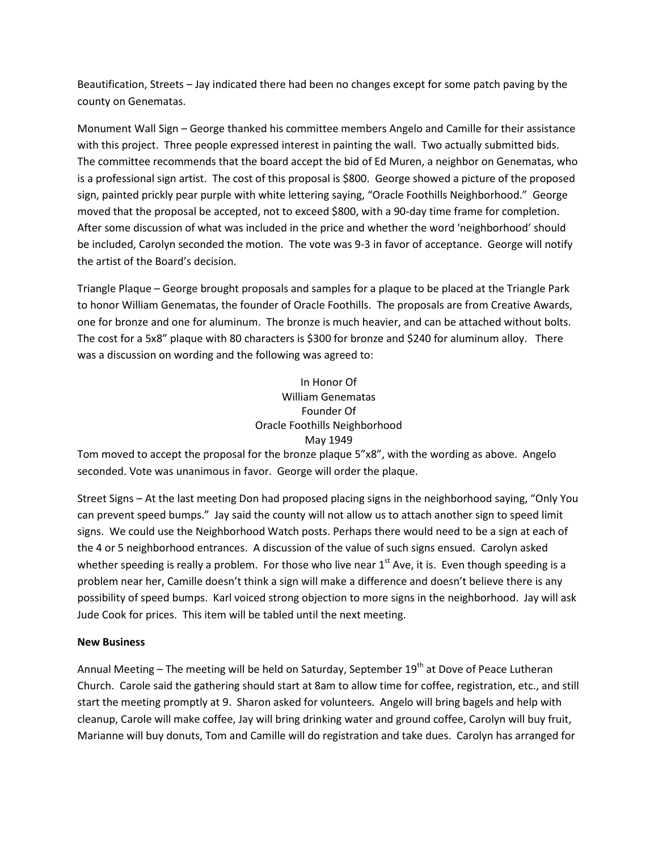Beautification, Streets – Jay indicated there had been no changes except for some patch paving by the county on Genematas.

Monument Wall Sign – George thanked his committee members Angelo and Camille for their assistance with this project. Three people expressed interest in painting the wall. Two actually submitted bids. The committee recommends that the board accept the bid of Ed Muren, a neighbor on Genematas, who is a professional sign artist. The cost of this proposal is \$800. George showed a picture of the proposed sign, painted prickly pear purple with white lettering saying, "Oracle Foothills Neighborhood." George moved that the proposal be accepted, not to exceed \$800, with a 90-day time frame for completion. After some discussion of what was included in the price and whether the word 'neighborhood' should be included, Carolyn seconded the motion. The vote was 9-3 in favor of acceptance. George will notify the artist of the Board's decision.

Triangle Plaque – George brought proposals and samples for a plaque to be placed at the Triangle Park to honor William Genematas, the founder of Oracle Foothills. The proposals are from Creative Awards, one for bronze and one for aluminum. The bronze is much heavier, and can be attached without bolts. The cost for a 5x8" plaque with 80 characters is \$300 for bronze and \$240 for aluminum alloy. There was a discussion on wording and the following was agreed to:

## In Honor Of William Genematas Founder Of Oracle Foothills Neighborhood May 1949

Tom moved to accept the proposal for the bronze plaque 5"x8", with the wording as above. Angelo seconded. Vote was unanimous in favor. George will order the plaque.

Street Signs – At the last meeting Don had proposed placing signs in the neighborhood saying, "Only You can prevent speed bumps." Jay said the county will not allow us to attach another sign to speed limit signs. We could use the Neighborhood Watch posts. Perhaps there would need to be a sign at each of the 4 or 5 neighborhood entrances. A discussion of the value of such signs ensued. Carolyn asked whether speeding is really a problem. For those who live near  $1<sup>st</sup>$  Ave, it is. Even though speeding is a problem near her, Camille doesn't think a sign will make a difference and doesn't believe there is any possibility of speed bumps. Karl voiced strong objection to more signs in the neighborhood. Jay will ask Jude Cook for prices. This item will be tabled until the next meeting.

## **New Business**

Annual Meeting – The meeting will be held on Saturday, September  $19<sup>th</sup>$  at Dove of Peace Lutheran Church. Carole said the gathering should start at 8am to allow time for coffee, registration, etc., and still start the meeting promptly at 9. Sharon asked for volunteers. Angelo will bring bagels and help with cleanup, Carole will make coffee, Jay will bring drinking water and ground coffee, Carolyn will buy fruit, Marianne will buy donuts, Tom and Camille will do registration and take dues. Carolyn has arranged for